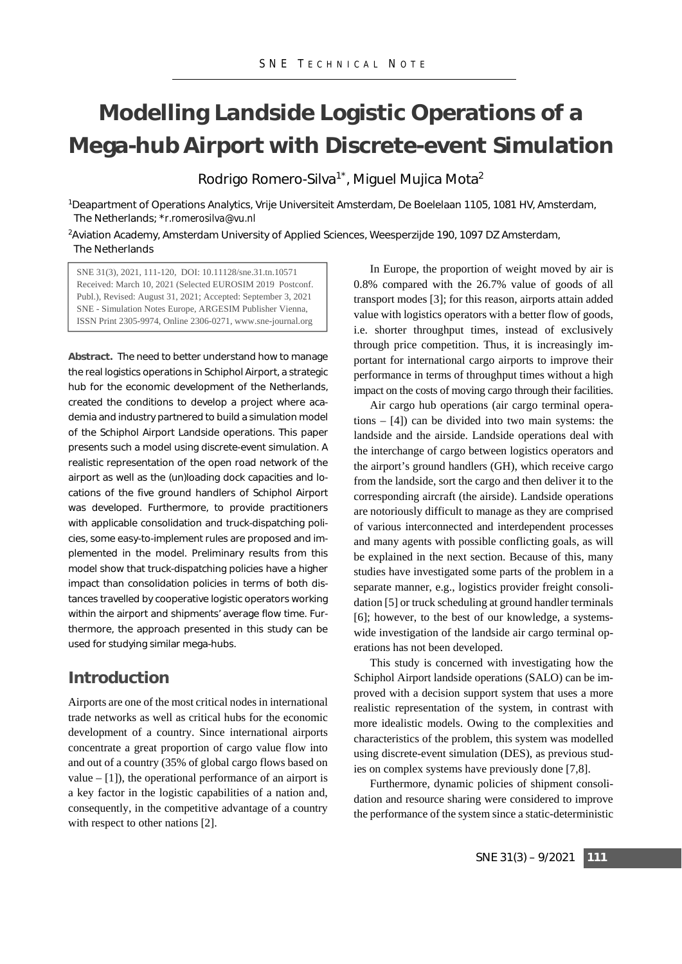# **Modelling Landside Logistic Operations of a Mega-hub Airport with Discrete-event Simulation**

Rodrigo Romero-Silva<sup>1\*</sup>, Miguel Mujica Mota<sup>2</sup>

1Deapartment of Operations Analytics, Vrije Universiteit Amsterdam, De Boelelaan 1105, 1081 HV, Amsterdam, The Netherlands; \**r.romerosilva@vu.nl* 

2Aviation Academy, Amsterdam University of Applied Sciences, Weesperzijde 190, 1097 DZ Amsterdam, The Netherlands

SNE 31(3), 2021, 111-120, DOI: 10.11128/sne.31.tn.10571 Received: March 10, 2021 (Selected EUROSIM 2019 Postconf. Publ.), Revised: August 31, 2021; Accepted: September 3, 2021 SNE - Simulation Notes Europe, ARGESIM Publisher Vienna, ISSN Print 2305-9974, Online 2306-0271, www.sne-journal.org

**Abstract.** The need to better understand how to manage the real logistics operations in Schiphol Airport, a strategic hub for the economic development of the Netherlands, created the conditions to develop a project where academia and industry partnered to build a simulation model of the Schiphol Airport Landside operations. This paper presents such a model using discrete-event simulation. A realistic representation of the open road network of the airport as well as the (un)loading dock capacities and locations of the five ground handlers of Schiphol Airport was developed. Furthermore, to provide practitioners with applicable consolidation and truck-dispatching policies, some easy-to-implement rules are proposed and implemented in the model. Preliminary results from this model show that truck-dispatching policies have a higher impact than consolidation policies in terms of both distances travelled by cooperative logistic operators working within the airport and shipments' average flow time. Furthermore, the approach presented in this study can be used for studying similar mega-hubs.

## **Introduction**

Airports are one of the most critical nodes in international trade networks as well as critical hubs for the economic development of a country. Since international airports concentrate a great proportion of cargo value flow into and out of a country (35% of global cargo flows based on value  $-$  [1]), the operational performance of an airport is a key factor in the logistic capabilities of a nation and, consequently, in the competitive advantage of a country with respect to other nations [2].

In Europe, the proportion of weight moved by air is 0.8% compared with the 26.7% value of goods of all transport modes [3]; for this reason, airports attain added value with logistics operators with a better flow of goods, i.e. shorter throughput times, instead of exclusively through price competition. Thus, it is increasingly important for international cargo airports to improve their performance in terms of throughput times without a high impact on the costs of moving cargo through their facilities.

Air cargo hub operations (air cargo terminal operations – [4]) can be divided into two main systems: the landside and the airside. Landside operations deal with the interchange of cargo between logistics operators and the airport's ground handlers (GH), which receive cargo from the landside, sort the cargo and then deliver it to the corresponding aircraft (the airside). Landside operations are notoriously difficult to manage as they are comprised of various interconnected and interdependent processes and many agents with possible conflicting goals, as will be explained in the next section. Because of this, many studies have investigated some parts of the problem in a separate manner, e.g., logistics provider freight consolidation [5] or truck scheduling at ground handler terminals [6]; however, to the best of our knowledge, a systemswide investigation of the landside air cargo terminal operations has not been developed.

This study is concerned with investigating how the Schiphol Airport landside operations (SALO) can be improved with a decision support system that uses a more realistic representation of the system, in contrast with more idealistic models. Owing to the complexities and characteristics of the problem, this system was modelled using discrete-event simulation (DES), as previous studies on complex systems have previously done [7,8].

Furthermore, dynamic policies of shipment consolidation and resource sharing were considered to improve the performance of the system since a static-deterministic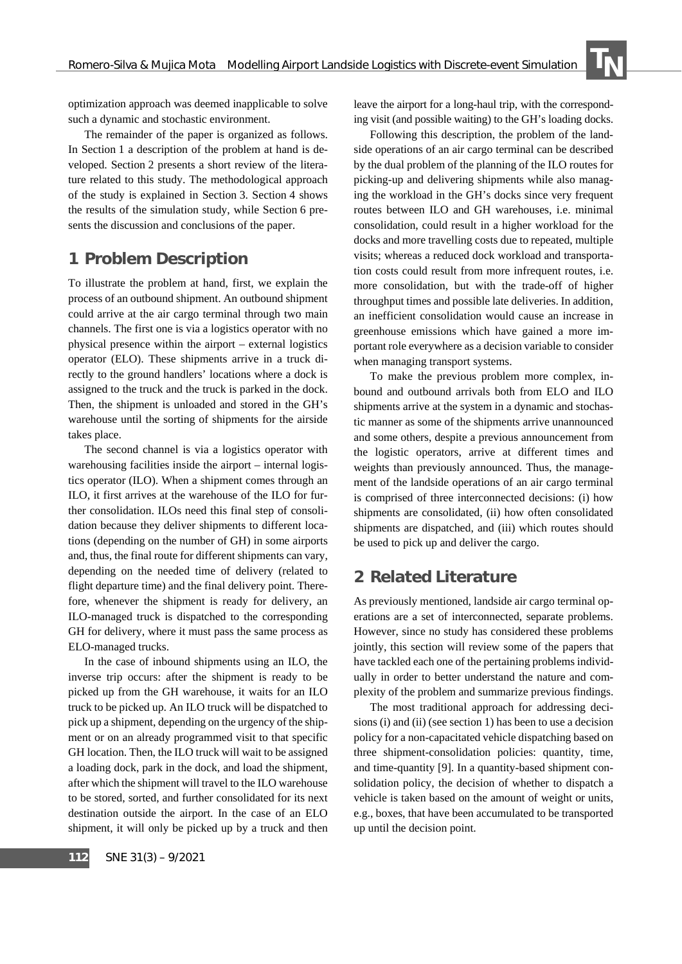optimization approach was deemed inapplicable to solve such a dynamic and stochastic environment.

The remainder of the paper is organized as follows. In Section 1 a description of the problem at hand is developed. Section 2 presents a short review of the literature related to this study. The methodological approach of the study is explained in Section 3. Section 4 shows the results of the simulation study, while Section 6 presents the discussion and conclusions of the paper.

## **1 Problem Description**

To illustrate the problem at hand, first, we explain the process of an outbound shipment. An outbound shipment could arrive at the air cargo terminal through two main channels. The first one is via a logistics operator with no physical presence within the airport – external logistics operator (ELO). These shipments arrive in a truck directly to the ground handlers' locations where a dock is assigned to the truck and the truck is parked in the dock. Then, the shipment is unloaded and stored in the GH's warehouse until the sorting of shipments for the airside takes place.

The second channel is via a logistics operator with warehousing facilities inside the airport – internal logistics operator (ILO). When a shipment comes through an ILO, it first arrives at the warehouse of the ILO for further consolidation. ILOs need this final step of consolidation because they deliver shipments to different locations (depending on the number of GH) in some airports and, thus, the final route for different shipments can vary, depending on the needed time of delivery (related to flight departure time) and the final delivery point. Therefore, whenever the shipment is ready for delivery, an ILO-managed truck is dispatched to the corresponding GH for delivery, where it must pass the same process as ELO-managed trucks.

In the case of inbound shipments using an ILO, the inverse trip occurs: after the shipment is ready to be picked up from the GH warehouse, it waits for an ILO truck to be picked up. An ILO truck will be dispatched to pick up a shipment, depending on the urgency of the shipment or on an already programmed visit to that specific GH location. Then, the ILO truck will wait to be assigned a loading dock, park in the dock, and load the shipment, after which the shipment will travel to the ILO warehouse to be stored, sorted, and further consolidated for its next destination outside the airport. In the case of an ELO shipment, it will only be picked up by a truck and then leave the airport for a long-haul trip, with the corresponding visit (and possible waiting) to the GH's loading docks.

 $\frac{1}{2}$ 

Following this description, the problem of the landside operations of an air cargo terminal can be described by the dual problem of the planning of the ILO routes for picking-up and delivering shipments while also managing the workload in the GH's docks since very frequent routes between ILO and GH warehouses, i.e. minimal consolidation, could result in a higher workload for the docks and more travelling costs due to repeated, multiple visits; whereas a reduced dock workload and transportation costs could result from more infrequent routes, i.e. more consolidation, but with the trade-off of higher throughput times and possible late deliveries. In addition, an inefficient consolidation would cause an increase in greenhouse emissions which have gained a more important role everywhere as a decision variable to consider when managing transport systems.

To make the previous problem more complex, inbound and outbound arrivals both from ELO and ILO shipments arrive at the system in a dynamic and stochastic manner as some of the shipments arrive unannounced and some others, despite a previous announcement from the logistic operators, arrive at different times and weights than previously announced. Thus, the management of the landside operations of an air cargo terminal is comprised of three interconnected decisions: (i) how shipments are consolidated, (ii) how often consolidated shipments are dispatched, and (iii) which routes should be used to pick up and deliver the cargo.

#### **2 Related Literature**

As previously mentioned, landside air cargo terminal operations are a set of interconnected, separate problems. However, since no study has considered these problems jointly, this section will review some of the papers that have tackled each one of the pertaining problems individually in order to better understand the nature and complexity of the problem and summarize previous findings.

The most traditional approach for addressing decisions (i) and (ii) (see section 1) has been to use a decision policy for a non-capacitated vehicle dispatching based on three shipment-consolidation policies: quantity, time, and time-quantity [9]. In a quantity-based shipment consolidation policy, the decision of whether to dispatch a vehicle is taken based on the amount of weight or units, e.g., boxes, that have been accumulated to be transported up until the decision point.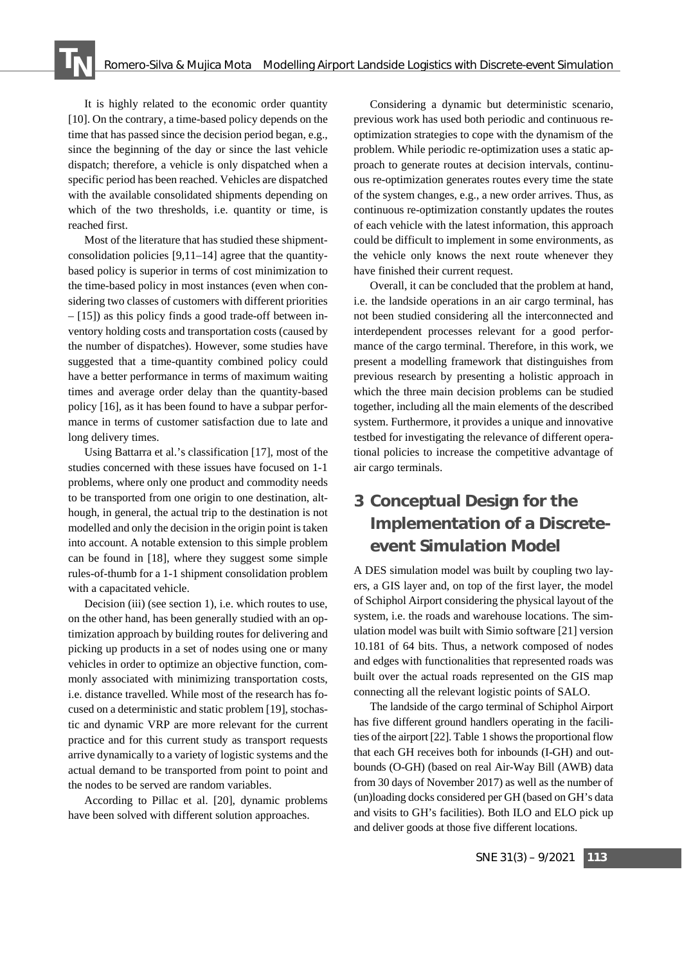It is highly related to the economic order quantity [10]. On the contrary, a time-based policy depends on the time that has passed since the decision period began, e.g., since the beginning of the day or since the last vehicle dispatch; therefore, a vehicle is only dispatched when a specific period has been reached. Vehicles are dispatched with the available consolidated shipments depending on which of the two thresholds, i.e. quantity or time, is reached first.

Most of the literature that has studied these shipmentconsolidation policies [9,11–14] agree that the quantitybased policy is superior in terms of cost minimization to the time-based policy in most instances (even when considering two classes of customers with different priorities – [15]) as this policy finds a good trade-off between inventory holding costs and transportation costs (caused by the number of dispatches). However, some studies have suggested that a time-quantity combined policy could have a better performance in terms of maximum waiting times and average order delay than the quantity-based policy [16], as it has been found to have a subpar performance in terms of customer satisfaction due to late and long delivery times.

Using Battarra et al.'s classification [17], most of the studies concerned with these issues have focused on 1-1 problems, where only one product and commodity needs to be transported from one origin to one destination, although, in general, the actual trip to the destination is not modelled and only the decision in the origin point is taken into account. A notable extension to this simple problem can be found in [18], where they suggest some simple rules-of-thumb for a 1-1 shipment consolidation problem with a capacitated vehicle.

Decision (iii) (see section 1), i.e. which routes to use, on the other hand, has been generally studied with an optimization approach by building routes for delivering and picking up products in a set of nodes using one or many vehicles in order to optimize an objective function, commonly associated with minimizing transportation costs, i.e. distance travelled. While most of the research has focused on a deterministic and static problem [19], stochastic and dynamic VRP are more relevant for the current practice and for this current study as transport requests arrive dynamically to a variety of logistic systems and the actual demand to be transported from point to point and the nodes to be served are random variables.

According to Pillac et al. [20], dynamic problems have been solved with different solution approaches.

Considering a dynamic but deterministic scenario, previous work has used both periodic and continuous reoptimization strategies to cope with the dynamism of the problem. While periodic re-optimization uses a static approach to generate routes at decision intervals, continuous re-optimization generates routes every time the state of the system changes, e.g., a new order arrives. Thus, as continuous re-optimization constantly updates the routes of each vehicle with the latest information, this approach could be difficult to implement in some environments, as the vehicle only knows the next route whenever they have finished their current request.

Overall, it can be concluded that the problem at hand, i.e. the landside operations in an air cargo terminal, has not been studied considering all the interconnected and interdependent processes relevant for a good performance of the cargo terminal. Therefore, in this work, we present a modelling framework that distinguishes from previous research by presenting a holistic approach in which the three main decision problems can be studied together, including all the main elements of the described system. Furthermore, it provides a unique and innovative testbed for investigating the relevance of different operational policies to increase the competitive advantage of air cargo terminals.

# **3 Conceptual Design for the Implementation of a Discreteevent Simulation Model**

A DES simulation model was built by coupling two layers, a GIS layer and, on top of the first layer, the model of Schiphol Airport considering the physical layout of the system, i.e. the roads and warehouse locations. The simulation model was built with Simio software [21] version 10.181 of 64 bits. Thus, a network composed of nodes and edges with functionalities that represented roads was built over the actual roads represented on the GIS map connecting all the relevant logistic points of SALO.

The landside of the cargo terminal of Schiphol Airport has five different ground handlers operating in the facilities of the airport [22]. Table 1 shows the proportional flow that each GH receives both for inbounds (I-GH) and outbounds (O-GH) (based on real Air-Way Bill (AWB) data from 30 days of November 2017) as well as the number of (un)loading docks considered per GH (based on GH's data and visits to GH's facilities). Both ILO and ELO pick up and deliver goods at those five different locations.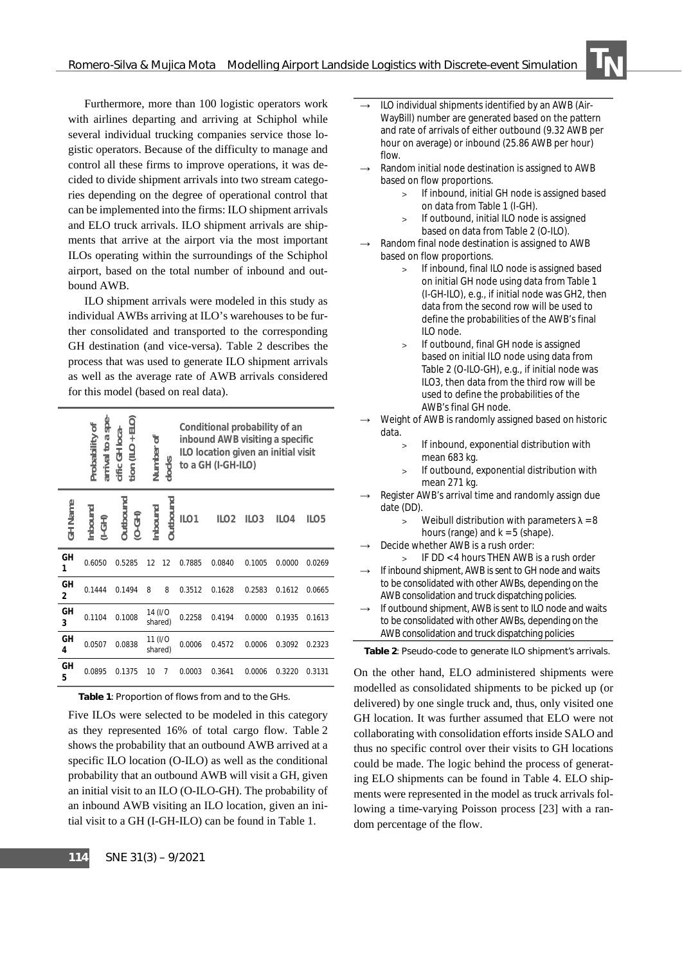Furthermore, more than 100 logistic operators work with airlines departing and arriving at Schiphol while several individual trucking companies service those logistic operators. Because of the difficulty to manage and control all these firms to improve operations, it was decided to divide shipment arrivals into two stream categories depending on the degree of operational control that can be implemented into the firms: ILO shipment arrivals and ELO truck arrivals. ILO shipment arrivals are shipments that arrive at the airport via the most important ILOs operating within the surroundings of the Schiphol airport, based on the total number of inbound and outbound AWB.

ILO shipment arrivals were modeled in this study as individual AWBs arriving at ILO's warehouses to be further consolidated and transported to the corresponding GH destination (and vice-versa). Table 2 describes the process that was used to generate ILO shipment arrivals as well as the average rate of AWB arrivals considered for this model (based on real data).

|         | arrival to a spe-<br>$\text{tion}$ (ILO + ELO)<br>Probability of<br>cific GH loca-<br>Number of<br>docks |                             |                    | Conditional probability of an<br>inbound AWB visiting a specific<br>ILO location given an initial visit<br>to a GH (I-GH-ILO) |        |                  |                  |                  |                  |
|---------|----------------------------------------------------------------------------------------------------------|-----------------------------|--------------------|-------------------------------------------------------------------------------------------------------------------------------|--------|------------------|------------------|------------------|------------------|
| GH Name | Inbound<br>$(1-GH)$                                                                                      | <b>Jutbound</b><br>$(D-GH)$ | hbound             | Dutbound                                                                                                                      | ILO1   | ILO <sub>2</sub> | ILO <sub>3</sub> | ILO <sub>4</sub> | ILO <sub>5</sub> |
| GH<br>1 | 0.6050                                                                                                   | 0.5285                      | 12                 | 12                                                                                                                            | 0.7885 | 0.0840           | 0.1005           | 0.0000           | 0.0269           |
| GH<br>2 | 0.1444                                                                                                   | 0.1494                      | 8                  | 8                                                                                                                             | 0.3512 | 0.1628           | 0.2583           | 0.1612           | 0.0665           |
| GH<br>3 | 0.1104                                                                                                   | 0.1008                      | 14 (I/O<br>shared) |                                                                                                                               | 0.2258 | 0.4194           | 0.0000           | 0.1935           | 0.1613           |
| GH<br>4 | 0.0507                                                                                                   | 0.0838                      | 11 (I/O<br>shared) |                                                                                                                               | 0.0006 | 0.4572           | 0.0006           | 0.3092           | 0.2323           |
| GH<br>5 | 0.0895                                                                                                   | 0.1375                      | 10                 | 7                                                                                                                             | 0.0003 | 0.3641           | 0.0006           | 0.3220           | 0.3131           |

**Table 1**: Proportion of flows from and to the GHs.

Five ILOs were selected to be modeled in this category as they represented 16% of total cargo flow. Table 2 shows the probability that an outbound AWB arrived at a specific ILO location (O-ILO) as well as the conditional probability that an outbound AWB will visit a GH, given an initial visit to an ILO (O-ILO-GH). The probability of an inbound AWB visiting an ILO location, given an initial visit to a GH (I-GH-ILO) can be found in Table 1.

- $\rightarrow$  ILO individual shipments identified by an AWB (Air-WayBill) number are generated based on the pattern and rate of arrivals of either outbound (9.32 AWB per hour on average) or inbound (25.86 AWB per hour) flow.
- Random initial node destination is assigned to AWB based on flow proportions.
	- > If inbound, initial GH node is assigned based on data from Table 1 (I-GH).

 $\frac{1}{2}$ 

- > If outbound, initial ILO node is assigned based on data from Table 2 (O-ILO).
- Random final node destination is assigned to AWB based on flow proportions.
	- If inbound, final ILO node is assigned based on initial GH node using data from Table 1 (I-GH-ILO), e.g., if initial node was GH2, then data from the second row will be used to define the probabilities of the AWB's final ILO node.
	- If outbound, final GH node is assigned based on initial ILO node using data from Table 2 (O-ILO-GH), e.g., if initial node was ILO3, then data from the third row will be used to define the probabilities of the AWB's final GH node.
- Weight of AWB is randomly assigned based on historic data.
	- > If inbound, exponential distribution with mean 683 kg.
	- > If outbound, exponential distribution with mean 271 kg.
- Register AWB's arrival time and randomly assign due date (DD).
	- Weibull distribution with parameters  $\lambda = 8$ hours (range) and  $k = 5$  (shape).
- Decide whether AWB is a rush order:
- > IF DD < 4 hours THEN AWB is a rush order If inbound shipment, AWB is sent to GH node and waits to be consolidated with other AWBs, depending on the AWB consolidation and truck dispatching policies.
- If outbound shipment, AWB is sent to ILO node and waits to be consolidated with other AWBs, depending on the AWB consolidation and truck dispatching policies

**Table 2**: Pseudo-code to generate ILO shipment's arrivals.

On the other hand, ELO administered shipments were modelled as consolidated shipments to be picked up (or delivered) by one single truck and, thus, only visited one GH location. It was further assumed that ELO were not collaborating with consolidation efforts inside SALO and thus no specific control over their visits to GH locations could be made. The logic behind the process of generating ELO shipments can be found in Table 4. ELO shipments were represented in the model as truck arrivals following a time-varying Poisson process [23] with a random percentage of the flow.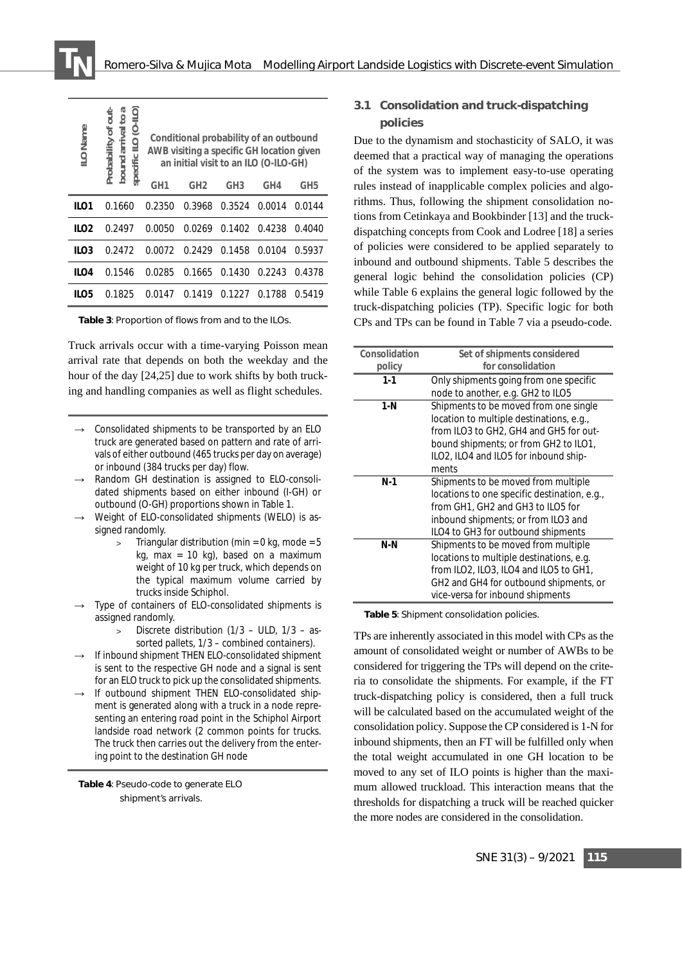| <b>ILO Name</b>  | ь<br>jut<br>9<br><b>IFO (0-II</b><br>Probability of<br>arrival<br>specific<br>bound | Conditional probability of an outbound<br>AWB visiting a specific GH location given<br>an initial visit to an ILO (O-ILO-GH) |                 |                 |        |        |  |
|------------------|-------------------------------------------------------------------------------------|------------------------------------------------------------------------------------------------------------------------------|-----------------|-----------------|--------|--------|--|
|                  |                                                                                     | GH1                                                                                                                          | GH <sub>2</sub> | GH <sub>3</sub> | GH4    | GH5    |  |
| ILO1             | 0.1660                                                                              | 0.2350                                                                                                                       | 0.3968          | 0.3524          | 0.0014 | 0.0144 |  |
| ILO <sub>2</sub> | 0.2497                                                                              | 0.0050                                                                                                                       | 0.0269          | 0.1402          | 0.4238 | 0.4040 |  |
| ILO <sub>3</sub> | 0.2472                                                                              | 0.0072                                                                                                                       | 0.2429          | 0.1458          | 0.0104 | 0.5937 |  |
| ILO4             | 0.1546                                                                              | 0.0285                                                                                                                       | 0.1665          | 0.1430          | 0.2243 | 0.4378 |  |
| II O5            | 0.1825                                                                              | 0.0147                                                                                                                       | 0.1419          | 0.1227          | 0.1788 | 0.5419 |  |

**Table 3**: Proportion of flows from and to the ILOs.

Truck arrivals occur with a time-varying Poisson mean arrival rate that depends on both the weekday and the hour of the day [24,25] due to work shifts by both trucking and handling companies as well as flight schedules.

- $\rightarrow$  Consolidated shipments to be transported by an ELO truck are generated based on pattern and rate of arrivals of either outbound (465 trucks per day on average) or inbound (384 trucks per day) flow.
- $\rightarrow$  Random GH destination is assigned to ELO-consolidated shipments based on either inbound (I-GH) or outbound (O-GH) proportions shown in Table 1.
- $\rightarrow$  Weight of ELO-consolidated shipments (WELO) is assigned randomly.
	- Triangular distribution (min =  $0$  kg, mode =  $5$ kg, max =  $10$  kg), based on a maximum weight of 10 kg per truck, which depends on the typical maximum volume carried by trucks inside Schiphol.
- Type of containers of ELO-consolidated shipments is assigned randomly.
	- > Discrete distribution (1/3 ULD, 1/3 assorted pallets, 1/3 – combined containers).
- If inbound shipment THEN ELO-consolidated shipment is sent to the respective GH node and a signal is sent for an ELO truck to pick up the consolidated shipments.
- If outbound shipment THEN ELO-consolidated shipment is generated along with a truck in a node representing an entering road point in the Schiphol Airport landside road network (2 common points for trucks. The truck then carries out the delivery from the entering point to the destination GH node

**Table 4**: Pseudo-code to generate ELO shipment's arrivals.

#### **3.1 Consolidation and truck-dispatching policies**

Due to the dynamism and stochasticity of SALO, it was deemed that a practical way of managing the operations of the system was to implement easy-to-use operating rules instead of inapplicable complex policies and algorithms. Thus, following the shipment consolidation notions from Cetinkaya and Bookbinder [13] and the truckdispatching concepts from Cook and Lodree [18] a series of policies were considered to be applied separately to inbound and outbound shipments. Table 5 describes the general logic behind the consolidation policies (CP) while Table 6 explains the general logic followed by the truck-dispatching policies (TP). Specific logic for both CPs and TPs can be found in Table 7 via a pseudo-code.

| Consolidation | Set of shipments considered                                    |  |  |  |
|---------------|----------------------------------------------------------------|--|--|--|
| policy        | for consolidation                                              |  |  |  |
| $1 - 1$       | Only shipments going from one specific                         |  |  |  |
|               | node to another, e.g. GH2 to ILO5                              |  |  |  |
| 1 N           | Shipments to be moved from one single                          |  |  |  |
|               | location to multiple destinations, e.g.,                       |  |  |  |
|               | from ILO3 to GH2, GH4 and GH5 for out-                         |  |  |  |
|               | bound shipments; or from GH2 to ILO1,                          |  |  |  |
|               | ILO2, ILO4 and ILO5 for inbound ship-                          |  |  |  |
|               | ments                                                          |  |  |  |
| N-1           | Shipments to be moved from multiple                            |  |  |  |
|               | locations to one specific destination, e.g.,                   |  |  |  |
|               | from GH1, GH2 and GH3 to ILO5 for                              |  |  |  |
|               | inbound shipments; or from ILO3 and                            |  |  |  |
|               | ILO4 to GH3 for outbound shipments                             |  |  |  |
| N-N           | Shipments to be moved from multiple                            |  |  |  |
|               | locations to multiple destinations, e.g.                       |  |  |  |
|               | from ILO2, ILO3, ILO4 and ILO5 to GH1,                         |  |  |  |
|               | GH <sub>2</sub> and GH <sub>4</sub> for outbound shipments, or |  |  |  |
|               | vice-versa for inbound shipments                               |  |  |  |

**Table 5**: Shipment consolidation policies.

TPs are inherently associated in this model with CPs as the amount of consolidated weight or number of AWBs to be considered for triggering the TPs will depend on the criteria to consolidate the shipments. For example, if the FT truck-dispatching policy is considered, then a full truck will be calculated based on the accumulated weight of the consolidation policy. Suppose the CP considered is 1-N for inbound shipments, then an FT will be fulfilled only when the total weight accumulated in one GH location to be moved to any set of ILO points is higher than the maximum allowed truckload. This interaction means that the thresholds for dispatching a truck will be reached quicker the more nodes are considered in the consolidation.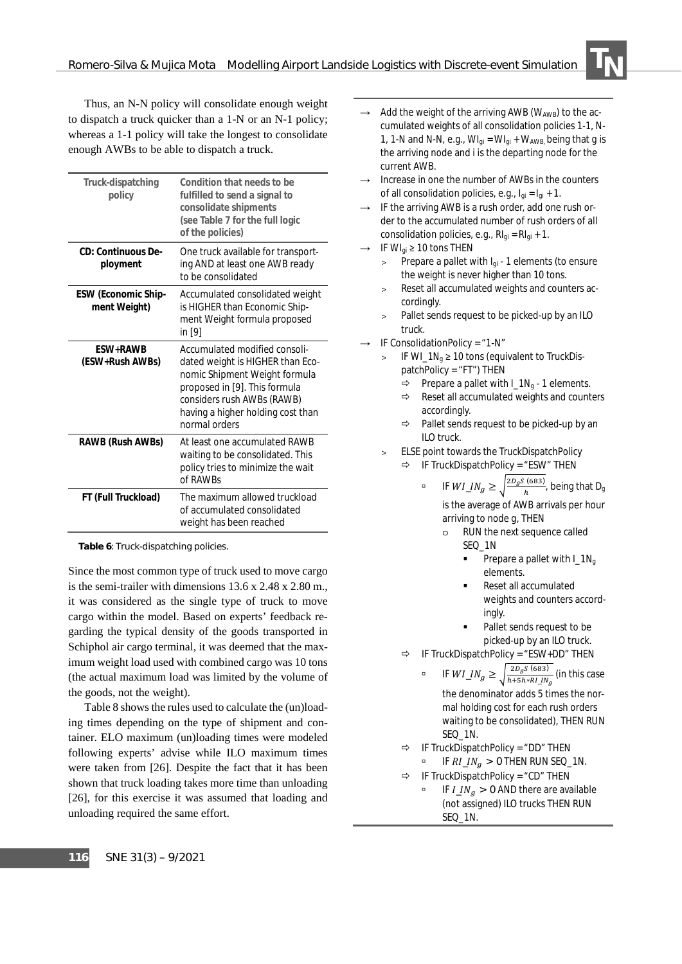Thus, an N-N policy will consolidate enough weight to dispatch a truck quicker than a 1-N or an N-1 policy; whereas a 1-1 policy will take the longest to consolidate enough AWBs to be able to dispatch a truck.

| Truck-dispatching<br>policy                | Condition that needs to be<br>fulfilled to send a signal to<br>consolidate shipments<br>(see Table 7 for the full logic<br>of the policies)                                                                                    |
|--------------------------------------------|--------------------------------------------------------------------------------------------------------------------------------------------------------------------------------------------------------------------------------|
| CD: Continuous De-<br>ployment             | One truck available for transport-<br>ing AND at least one AWB ready<br>to be consolidated                                                                                                                                     |
| <b>ESW (Economic Ship-</b><br>ment Weight) | Accumulated consolidated weight<br>is HIGHER than Economic Ship-<br>ment Weight formula proposed<br>in [9]                                                                                                                     |
| <b>FSW+RAWB</b><br>(ESW+Rush AWBs)         | Accumulated <i>modified</i> consoli-<br>dated weight is HIGHER than Eco-<br>nomic Shipment Weight formula<br>proposed in [9]. This formula<br>considers rush AWBs (RAWB)<br>having a higher holding cost than<br>normal orders |
| RAWB (Rush AWBs)                           | At least one accumulated RAWB<br>waiting to be consolidated. This<br>policy tries to minimize the wait<br>of RAWBs                                                                                                             |
| FT (Full Truckload)                        | The maximum allowed truckload<br>of accumulated consolidated<br>weight has been reached                                                                                                                                        |

**Table 6**: Truck-dispatching policies.

Since the most common type of truck used to move cargo is the semi-trailer with dimensions 13.6 x 2.48 x 2.80 m., it was considered as the single type of truck to move cargo within the model. Based on experts' feedback regarding the typical density of the goods transported in Schiphol air cargo terminal, it was deemed that the maximum weight load used with combined cargo was 10 tons (the actual maximum load was limited by the volume of the goods, not the weight).

Table 8 shows the rules used to calculate the (un)loading times depending on the type of shipment and container. ELO maximum (un)loading times were modeled following experts' advise while ILO maximum times were taken from [26]. Despite the fact that it has been shown that truck loading takes more time than unloading [26], for this exercise it was assumed that loading and unloading required the same effort.

Add the weight of the arriving AWB ( $W<sub>AWB</sub>$ ) to the accumulated weights of all consolidation policies 1-1, N-1, 1-N and N-N, e.g.,  $Wl_{qi} = Wl_{qi} + W_{AWB}$ , being that *g* is the arriving node and *i* is the departing node for the current AWB.

 $\frac{1}{2}$ 

- Increase in one the number of AWBs in the counters of all consolidation policies, e.g., *Igi* = *Igi* + 1.
- IF the arriving AWB is a rush order, add one rush order to the accumulated number of rush orders of all consolidation policies, e.g., *RIgi* = *RIgi* + 1.
- IF  $W I_{qi} \geq 10$  tons THEN
	- > Prepare a pallet with *Igi* 1 elements (to ensure the weight is never higher than 10 tons.
	- Reset all accumulated weights and counters accordingly.
	- > Pallet sends request to be picked-up by an ILO truck.
- IF ConsolidationPolicy = "1-N"
	- IF  $W/L_1N_a \ge 10$  tons (equivalent to TruckDispatchPolicy = "FT") THEN
		- $\Rightarrow$  Prepare a pallet with  $I_1N_q$  1 elements.
		- $\Rightarrow$  Reset all accumulated weights and counters accordingly.
		- $\Rightarrow$  Pallet sends request to be picked-up by an ILO truck.
	- ELSE point towards the TruckDispatchPolicy
		- $\Rightarrow$  IF TruckDispatchPolicy = "ESW" THEN

**i** IF  $WI\_IN_g \ge \sqrt{\frac{2D_gS(683)}{h}}$ , being that  $D_g$ is the average of AWB arrivals per hour arriving to node *g*, THEN

- o RUN the next sequence called SEQ\_1N
	- Prepare a pallet with *I\_1Ng* elements.
	- Reset all accumulated weights and counters accordingly.
	- Pallet sends request to be picked-up by an ILO truck.
- $\Rightarrow$  IF TruckDispatchPolicy = "ESW+DD" THEN
	- **a** IF  $WI\_IN_g \ge \sqrt{\frac{2D_gS(683)}{h+5h*RI\_IN_g}}$  (in this case the denominator adds 5 times the normal holding cost for each rush orders waiting to be consolidated), THEN RUN SEQ\_1N.
- $\Rightarrow$  IF TruckDispatchPolicy = "DD" THEN IF  $RI\_IN_a > 0$  THEN RUN SEQ\_1N.

$$
\Rightarrow \quad \text{IF } \text{TruckDispatchPolicy} = \text{``CD''} \text{ THEN}
$$

**EXECUTE:** IF  $I_1N_a > 0$  AND there are available (not assigned) ILO trucks THEN RUN SEQ\_1N.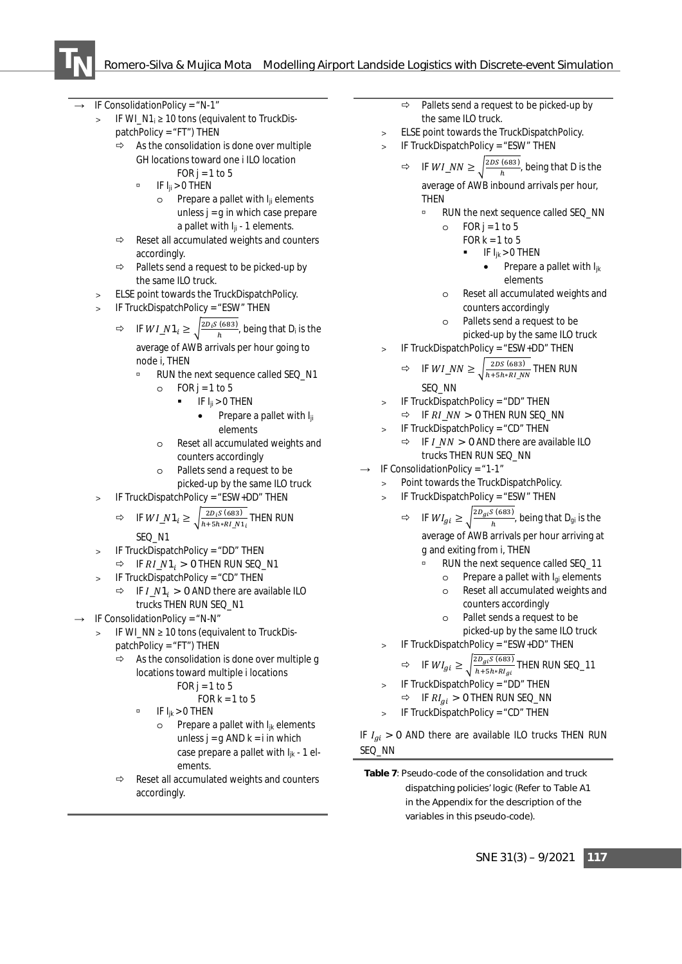

IF ConsolidationPolicy =  $N-1$ "

- > IF *WI\_N1<sub>i</sub>* ≥ 10 tons (equivalent to TruckDispatchPolicy = "FT") THEN
	- $\Rightarrow$  As the consolidation is done over multiple GH locations toward one *i* ILO location
		- FOR  $j = 1$  to 5  $\Box$  IF  $I_{ij} > 0$  THEN
			- o Prepare a pallet with *Iji* elements unless *j* = *g* in which case prepare a pallet with *Iji* - 1 elements.
	- $\Rightarrow$  Reset all accumulated weights and counters accordingly.
	- $\Rightarrow$  Pallets send a request to be picked-up by the same ILO truck.
- ELSE point towards the TruckDispatchPolicy.
- IF TruckDispatchPolicy = "ESW" THEN

⇒ IF 
$$
WI\_N1_i \ge \sqrt{\frac{2D_i S \text{ (683)}}{h}}
$$
, being that  $D_i$  is the average of AWB arrivals per hour going to node *i*, THEN

- à RUN the next sequence called SEQ\_N1
	- $O$  FOR j = 1 to 5
		- IF *Iji* > 0 THEN
			- Prepare a pallet with *Iji* elements
	- o Reset all accumulated weights and counters accordingly
	- o Pallets send a request to be picked-up by the same ILO truck
- IF TruckDispatchPolicy = "ESW+DD" THEN
	- $\Rightarrow$  IF  $WI_N1_i \geq \sqrt{\frac{2D_i S (683)}{h+5h*RI_N1_i}}$  THEN RUN SEO N1
- IF TruckDispatchPolicy = "DD" THEN
- $\Rightarrow$  IF  $RI_N1_i > 0$  THEN RUN SEQ\_N1
- > IF TruckDispatchPolicy = "CD" THEN
	- $\Rightarrow$  IF  $I_N1_i > 0$  AND there are available ILO trucks THEN RUN SEQ\_N1
- $\rightarrow$  IF ConsolidationPolicy = "N-N"
	- > IF *WI\_NN* ≥ 10 tons (equivalent to TruckDispatchPolicy = "FT") THEN
		- As the consolidation is done over multiple *g* locations toward multiple *i* locations  $FOR i = 1 to 5$

$$
OR J = 1103
$$
  
FOR k = 1 to 5

- $\overline{P}$  IF  $I_{ik} > 0$  THEN
	- o Prepare a pallet with *Ijk* elements unless  $j = q$  AND  $k = i$  in which case prepare a pallet with *Ijk* - 1 elements.
- $\Rightarrow$  Reset all accumulated weights and counters accordingly.
- $\Rightarrow$  Pallets send a request to be picked-up by the same ILO truck.
- ELSE point towards the TruckDispatchPolicy.
- > IF TruckDispatchPolicy = "ESW" THEN
	- $\Rightarrow$  IF  $WI\_NN \geq \sqrt{\frac{2DS(683)}{h}}$ , being that *D* is the average of AWB inbound arrivals per hour, **THFN** 
		- RUN the next sequence called SEQ NN

$$
\circ \quad FOR \ j = 1 \ to \ 5
$$

FOR k = 1 to 5

$$
\blacksquare \qquad \text{IF } I_{jk} > 0 \text{ THEN}
$$

• Prepare a pallet with *Ijk* elements

- o Reset all accumulated weights and counters accordingly
- o Pallets send a request to be picked-up by the same ILO truck
- > IF TruckDispatchPolicy = "ESW+DD" THEN

$$
\Rightarrow \quad \text{IF } WI\_NN \ge \sqrt{\frac{2DS (683)}{h+5h*RI\_NN}} \text{ THEN } RUN
$$
\n
$$
\text{SEQ } NN
$$

IF TruckDispatchPolicy = "DD" THEN IF  $PI$   $NN \sim$  0 THEN RUN SEQ\_NN

$$
= \text{IF Tr } \text{AT\_NN} > 0 \text{ THEN } \text{row } \text{SEC\_N}
$$
\n
$$
> \text{IF TruckDispatchPolicy} = \text{``CD'' THEN}
$$

$$
∴ IF I_NN > 0 AND there are available ILOtrucks THEN RUN  $SEC_NN$
$$

- IF ConsolidationPolicy =  $41 1$ 
	- > Point towards the TruckDispatchPolicy.
	- > IF TruckDispatchPolicy = "ESW" THEN
		- $\Rightarrow$  IF  $WI_{gi} \ge \sqrt{\frac{2D_{gi}S(683)}{h}}$ , being that  $D_{gi}$  is the average of AWB arrivals per hour arriving at *g* and exiting from *i*, THEN
			- à RUN the next sequence called SEQ\_11
			- o Prepare a pallet with *Igi* elements
				- o Reset all accumulated weights and counters accordingly
			- o Pallet sends a request to be picked-up by the same ILO truck
	- > IF TruckDispatchPolicy = "ESW+DD" THEN

$$
\Rightarrow \quad \text{IF } W I_{gi} \ge \sqrt{\frac{2D_{gi} S (683)}{h + 5h * R I_{gi}}} \text{ THEN RUN SEQ_11}
$$

- IF TruckDispatchPolicy = "DD" THEN  $\Rightarrow$  IF  $RI_{ai} > 0$  THEN RUN SEQ\_NN
- IF TruckDispatchPolicy = "CD" THEN

IF  $I_{ai} > 0$  AND there are available ILO trucks THEN RUN SEQ\_NN

**Table 7**: Pseudo-code of the consolidation and truck dispatching policies' logic (Refer to Table A1 in the Appendix for the description of the variables in this pseudo-code).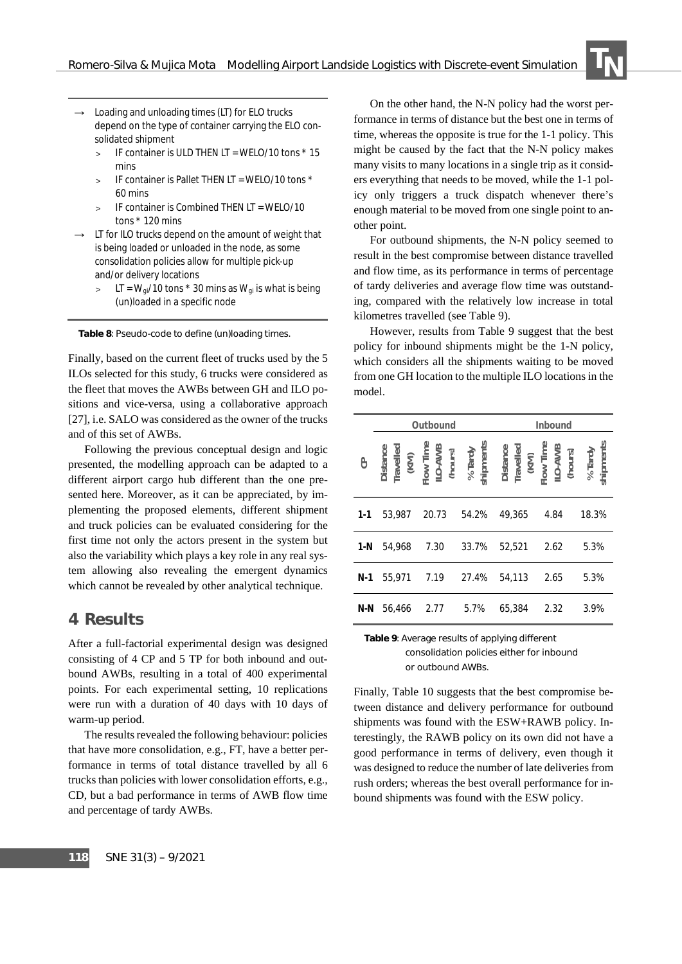- Loading and unloading times (LT) for ELO trucks depend on the type of container carrying the ELO consolidated shipment
	- > IF container is ULD THEN LT = WELO/10 tons \* 15 mins
	- > IF container is Pallet THEN LT = WELO/10 tons \* 60 mins
	- > IF container is Combined THEN LT = WELO/10 tons \* 120 mins
- $\rightarrow$  LT for ILO trucks depend on the amount of weight that is being loaded or unloaded in the node, as some consolidation policies allow for multiple pick-up and/or delivery locations
	- $>$  LT =  $W_{qi}$ /10 tons  $*$  30 mins as  $W_{qi}$  is what is being (un)loaded in a specific node

**Table 8**: Pseudo-code to define (un)loading times.

Finally, based on the current fleet of trucks used by the 5 ILOs selected for this study, 6 trucks were considered as the fleet that moves the AWBs between GH and ILO positions and vice-versa, using a collaborative approach [27], i.e. SALO was considered as the owner of the trucks and of this set of AWBs.

Following the previous conceptual design and logic presented, the modelling approach can be adapted to a different airport cargo hub different than the one presented here. Moreover, as it can be appreciated, by implementing the proposed elements, different shipment and truck policies can be evaluated considering for the first time not only the actors present in the system but also the variability which plays a key role in any real system allowing also revealing the emergent dynamics which cannot be revealed by other analytical technique.

#### **4 Results**

After a full-factorial experimental design was designed consisting of 4 CP and 5 TP for both inbound and outbound AWBs, resulting in a total of 400 experimental points. For each experimental setting, 10 replications were run with a duration of 40 days with 10 days of warm-up period.

The results revealed the following behaviour: policies that have more consolidation, e.g., FT, have a better performance in terms of total distance travelled by all 6 trucks than policies with lower consolidation efforts, e.g., CD, but a bad performance in terms of AWB flow time and percentage of tardy AWBs.

On the other hand, the N-N policy had the worst performance in terms of distance but the best one in terms of time, whereas the opposite is true for the 1-1 policy. This might be caused by the fact that the N-N policy makes many visits to many locations in a single trip as it considers everything that needs to be moved, while the 1-1 policy only triggers a truck dispatch whenever there's enough material to be moved from one single point to another point.

 $\frac{1}{2}$ 

For outbound shipments, the N-N policy seemed to result in the best compromise between distance travelled and flow time, as its performance in terms of percentage of tardy deliveries and average flow time was outstanding, compared with the relatively low increase in total kilometres travelled (see Table 9).

However, results from Table 9 suggest that the best policy for inbound shipments might be the 1-N policy, which considers all the shipments waiting to be moved from one GH location to the multiple ILO locations in the model.

|         |        | Outbound |       | Inbound                                                                                                                             |      |                      |  |
|---------|--------|----------|-------|-------------------------------------------------------------------------------------------------------------------------------------|------|----------------------|--|
| පි      |        |          |       | Distance<br>Travelled<br>(KM)<br>Flow Time<br>In C-AWB<br>(hours)<br>shipments<br>bistance<br>Distance<br>Travelled<br>(KM)<br>(KM) |      | % Tardy<br>shipments |  |
| $1 - 1$ | 53.987 | 20.73    | 54.2% | 49,365                                                                                                                              | 4.84 | 18.3%                |  |
| $1-N$   | 54.968 | 7.30     | 33.7% | 52,521                                                                                                                              | 2.62 | 5.3%                 |  |
| N-1     | 55.971 | 7.19     | 27.4% | 54,113                                                                                                                              | 2.65 | 5.3%                 |  |
| N-N     | 56,466 | 2.77     | 5.7%  | 65,384                                                                                                                              | 2.32 | 3.9%                 |  |

**Table 9**: Average results of applying different consolidation policies either for inbound or outbound AWBs.

Finally, Table 10 suggests that the best compromise between distance and delivery performance for outbound shipments was found with the ESW+RAWB policy. Interestingly, the RAWB policy on its own did not have a good performance in terms of delivery, even though it was designed to reduce the number of late deliveries from rush orders; whereas the best overall performance for inbound shipments was found with the ESW policy.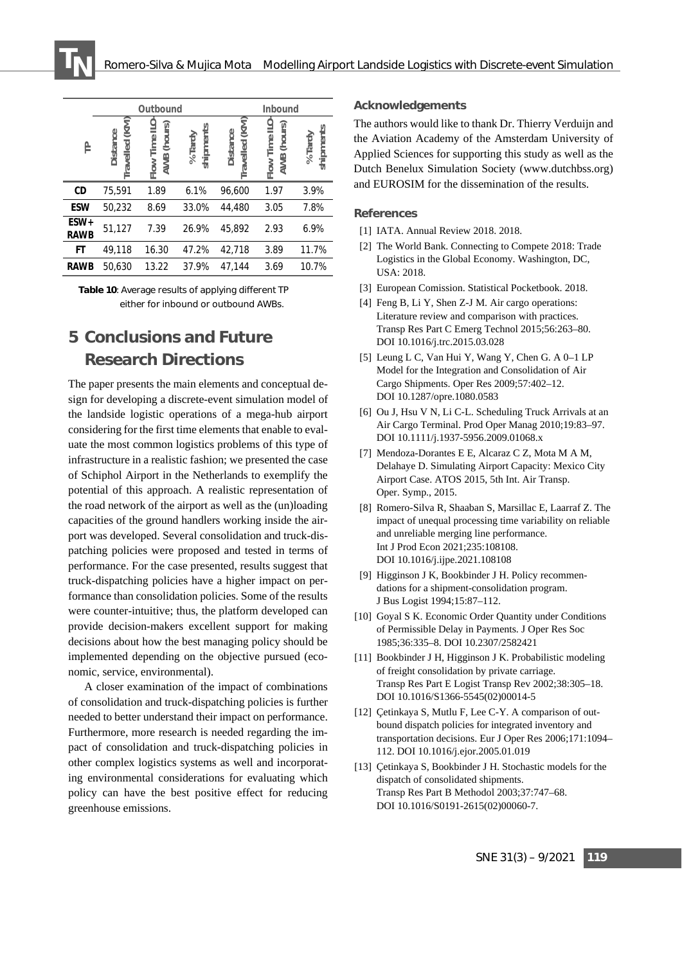|                     |                                      | Outbound                               |                         | Inbound                           |                                 |                      |  |
|---------------------|--------------------------------------|----------------------------------------|-------------------------|-----------------------------------|---------------------------------|----------------------|--|
| 은                   | (KM)<br><b>Distance</b><br>Travelled | Flow Time ILO<br>(hours)<br><b>AWB</b> | shipments<br>% $T$ ardy | Travelled (KM)<br><b>Distance</b> | Flow Time ILO<br>(hours)<br>AWB | shipments<br>% Tardy |  |
| CD                  | 75,591                               | 1.89                                   | 6.1%                    | 96,600                            | 1.97                            | 3.9%                 |  |
| <b>ESW</b>          | 50,232                               | 8.69                                   | 33.0%                   | 44,480                            | 3.05                            | 7.8%                 |  |
| ESW+<br><b>RAWB</b> | 51,127                               | 7.39                                   | 26.9%                   | 45.892                            | 2.93                            | 6.9%                 |  |
| FT                  | 49,118                               | 16.30                                  | 47.2%                   | 42,718                            | 3.89                            | 11.7%                |  |
| <b>RAWB</b>         | 50.630                               | 13.22                                  | 37.9%                   | 47,144                            | 3.69                            | 10.7%                |  |

**Table 10**: Average results of applying different TP either for inbound or outbound AWBs.

## **5 Conclusions and Future Research Directions**

The paper presents the main elements and conceptual design for developing a discrete-event simulation model of the landside logistic operations of a mega-hub airport considering for the first time elements that enable to evaluate the most common logistics problems of this type of infrastructure in a realistic fashion; we presented the case of Schiphol Airport in the Netherlands to exemplify the potential of this approach. A realistic representation of the road network of the airport as well as the (un)loading capacities of the ground handlers working inside the airport was developed. Several consolidation and truck-dispatching policies were proposed and tested in terms of performance. For the case presented, results suggest that truck-dispatching policies have a higher impact on performance than consolidation policies. Some of the results were counter-intuitive; thus, the platform developed can provide decision-makers excellent support for making decisions about how the best managing policy should be implemented depending on the objective pursued (economic, service, environmental).

A closer examination of the impact of combinations of consolidation and truck-dispatching policies is further needed to better understand their impact on performance. Furthermore, more research is needed regarding the impact of consolidation and truck-dispatching policies in other complex logistics systems as well and incorporating environmental considerations for evaluating which policy can have the best positive effect for reducing greenhouse emissions.

#### **Acknowledgements**

The authors would like to thank Dr. Thierry Verduijn and the Aviation Academy of the Amsterdam University of Applied Sciences for supporting this study as well as the Dutch Benelux Simulation Society (www.dutchbss.org) and EUROSIM for the dissemination of the results.

#### **References**

- [1] IATA. Annual Review 2018. 2018.
- [2] The World Bank. Connecting to Compete 2018: Trade Logistics in the Global Economy. Washington, DC, USA: 2018.
- [3] European Comission. Statistical Pocketbook. 2018.
- [4] Feng B, Li Y, Shen Z-J M. Air cargo operations: Literature review and comparison with practices. Transp Res Part C Emerg Technol 2015;56:263–80. DOI 10.1016/j.trc.2015.03.028
- [5] Leung L C, Van Hui Y, Wang Y, Chen G. A 0–1 LP Model for the Integration and Consolidation of Air Cargo Shipments. Oper Res 2009;57:402–12. DOI 10.1287/opre.1080.0583
- [6] Ou J, Hsu V N, Li C-L. Scheduling Truck Arrivals at an Air Cargo Terminal. Prod Oper Manag 2010;19:83–97. DOI 10.1111/j.1937-5956.2009.01068.x
- [7] Mendoza-Dorantes E E, Alcaraz C Z, Mota M A M, Delahaye D. Simulating Airport Capacity: Mexico City Airport Case. ATOS 2015, 5th Int. Air Transp. Oper. Symp., 2015.
- [8] Romero-Silva R, Shaaban S, Marsillac E, Laarraf Z. The impact of unequal processing time variability on reliable and unreliable merging line performance. Int J Prod Econ 2021;235:108108. DOI 10.1016/j.ijpe.2021.108108
- [9] Higginson J K, Bookbinder J H. Policy recommendations for a shipment-consolidation program. J Bus Logist 1994;15:87–112.
- [10] Goyal S K. Economic Order Quantity under Conditions of Permissible Delay in Payments. J Oper Res Soc 1985;36:335–8. DOI 10.2307/2582421
- [11] Bookbinder J H, Higginson J K. Probabilistic modeling of freight consolidation by private carriage. Transp Res Part E Logist Transp Rev 2002;38:305–18. DOI 10.1016/S1366-5545(02)00014-5
- [12] Çetinkaya S, Mutlu F, Lee C-Y. A comparison of outbound dispatch policies for integrated inventory and transportation decisions. Eur J Oper Res 2006;171:1094– 112. DOI 10.1016/j.ejor.2005.01.019
- [13] Çetinkaya S, Bookbinder J H. Stochastic models for the dispatch of consolidated shipments. Transp Res Part B Methodol 2003;37:747–68. DOI 10.1016/S0191-2615(02)00060-7.